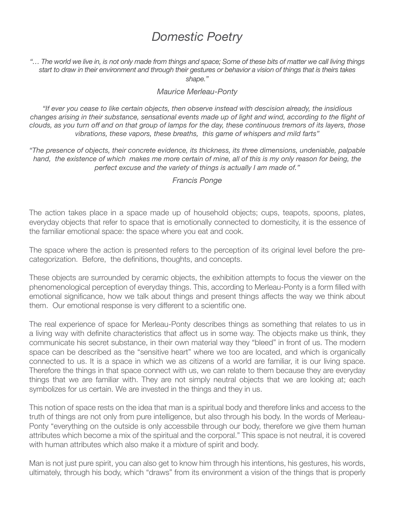## *Domestic Poetry*

*"… The world we live in, is not only made from things and space; Some of these bits of matter we call living things start to draw in their environment and through their gestures or behavior a vision of things that is theirs takes shape."*

## *Maurice Merleau-Ponty*

*"If ever you cease to like certain objects, then observe instead with descision already, the insidious*  changes arising in their substance, sensational events made up of light and wind, according to the flight of *clouds, as you turn off and on that group of lamps for the day, these continuous tremors of its layers, those vibrations, these vapors, these breaths, this game of whispers and mild farts"*

*"The presence of objects, their concrete evidence, its thickness, its three dimensions, undeniable, palpable hand, the existence of which makes me more certain of mine, all of this is my only reason for being, the perfect excuse and the variety of things is actually I am made of."*

## *Francis Ponge*

The action takes place in a space made up of household objects; cups, teapots, spoons, plates, everyday objects that refer to space that is emotionally connected to domesticity, it is the essence of the familiar emotional space: the space where you eat and cook.

The space where the action is presented refers to the perception of its original level before the precategorization. Before, the definitions, thoughts, and concepts.

These objects are surrounded by ceramic objects, the exhibition attempts to focus the viewer on the phenomenological perception of everyday things. This, according to Merleau-Ponty is a form filled with emotional significance, how we talk about things and present things affects the way we think about them. Our emotional response is very different to a scientific one.

The real experience of space for Merleau-Ponty describes things as something that relates to us in a living way with definite characteristics that affect us in some way. The objects make us think, they communicate his secret substance, in their own material way they "bleed" in front of us. The modern space can be described as the "sensitive heart" where we too are located, and which is organically connected to us. It is a space in which we as citizens of a world are familiar, it is our living space. Therefore the things in that space connect with us, we can relate to them because they are everyday things that we are familiar with. They are not simply neutral objects that we are looking at; each symbolizes for us certain. We are invested in the things and they in us.

This notion of space rests on the idea that man is a spiritual body and therefore links and access to the truth of things are not only from pure intelligence, but also through his body. In the words of Merleau-Ponty "everything on the outside is only accessbile through our body, therefore we give them human attributes which become a mix of the spiritual and the corporal." This space is not neutral, it is covered with human attributes which also make it a mixture of spirit and body.

Man is not just pure spirit, you can also get to know him through his intentions, his gestures, his words, ultimately, through his body, which "draws" from its environment a vision of the things that is properly